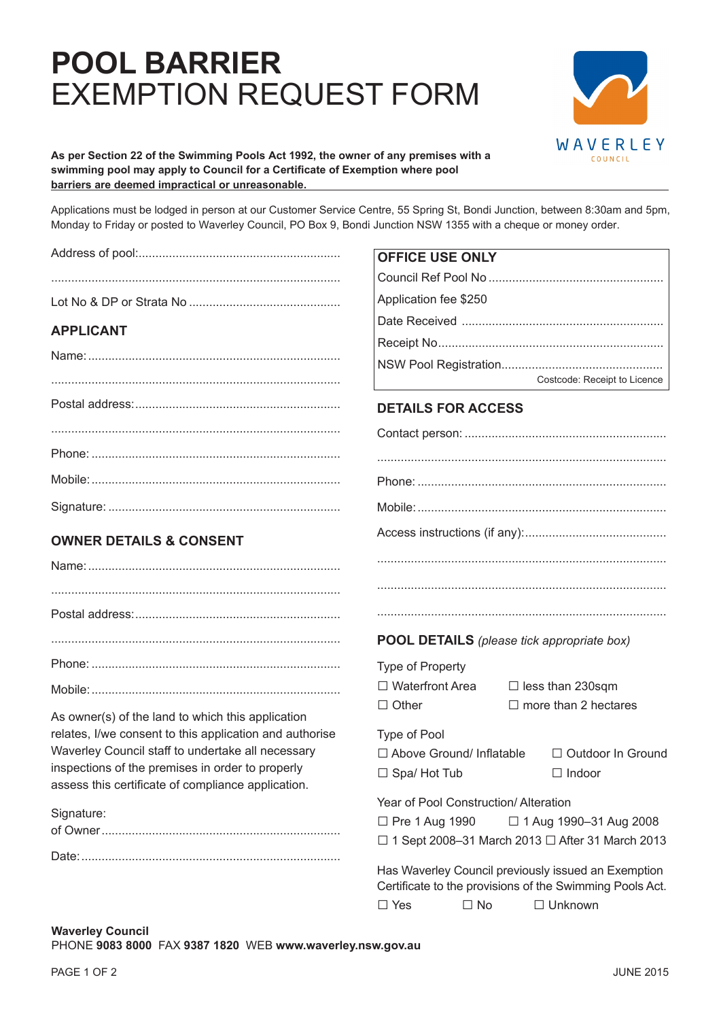# **pOOl BArrier**  EXEMPTION REQUEST FORM



#### **As per Section 22 of the Swimming Pools Act 1992, the owner of any premises with a swimming pool may apply to Council for a Certificate of Exemption where pool barriers are deemed impractical or unreasonable.**

Applications must be lodged in person at our Customer Service Centre, 55 Spring St, Bondi Junction, between 8:30am and 5pm, Monday to Friday or posted to Waverley Council, PO Box 9, Bondi Junction NSW 1355 with a cheque or money order.

|                                                         | <b>OFFICE USE ONLY</b>                                                                                          |
|---------------------------------------------------------|-----------------------------------------------------------------------------------------------------------------|
|                                                         |                                                                                                                 |
|                                                         | Application fee \$250                                                                                           |
| <b>APPLICANT</b>                                        |                                                                                                                 |
|                                                         |                                                                                                                 |
|                                                         |                                                                                                                 |
|                                                         | Costcode: Receipt to Licence                                                                                    |
|                                                         | <b>DETAILS FOR ACCESS</b>                                                                                       |
|                                                         |                                                                                                                 |
|                                                         |                                                                                                                 |
|                                                         |                                                                                                                 |
|                                                         |                                                                                                                 |
| <b>OWNER DETAILS &amp; CONSENT</b>                      |                                                                                                                 |
|                                                         |                                                                                                                 |
|                                                         |                                                                                                                 |
|                                                         |                                                                                                                 |
|                                                         | <b>POOL DETAILS</b> (please tick appropriate box)                                                               |
|                                                         | Type of Property                                                                                                |
|                                                         | $\Box$ Waterfront Area<br>$\Box$ less than 230sqm                                                               |
| As owner(s) of the land to which this application       | $\Box$ more than 2 hectares<br>$\Box$ Other                                                                     |
| relates, I/we consent to this application and authorise | Type of Pool                                                                                                    |
| Waverley Council staff to undertake all necessary       | □ Above Ground/ Inflatable<br>□ Outdoor In Ground                                                               |
| inspections of the premises in order to properly        | $\Box$ Spa/Hot Tub<br>$\Box$ Indoor                                                                             |
| assess this certificate of compliance application.      | Year of Pool Construction/ Alteration                                                                           |
| Signature:                                              | $\Box$ Pre 1 Aug 1990<br>□ 1 Aug 1990-31 Aug 2008                                                               |
|                                                         | $\Box$ 1 Sept 2008-31 March 2013 $\Box$ After 31 March 2013                                                     |
|                                                         |                                                                                                                 |
|                                                         | Has Waverley Council previously issued an Exemption<br>Certificate to the provisions of the Swimming Pools Act. |
|                                                         | $\Box$ Yes<br>$\Box$ Unknown<br>$\Box$ No                                                                       |